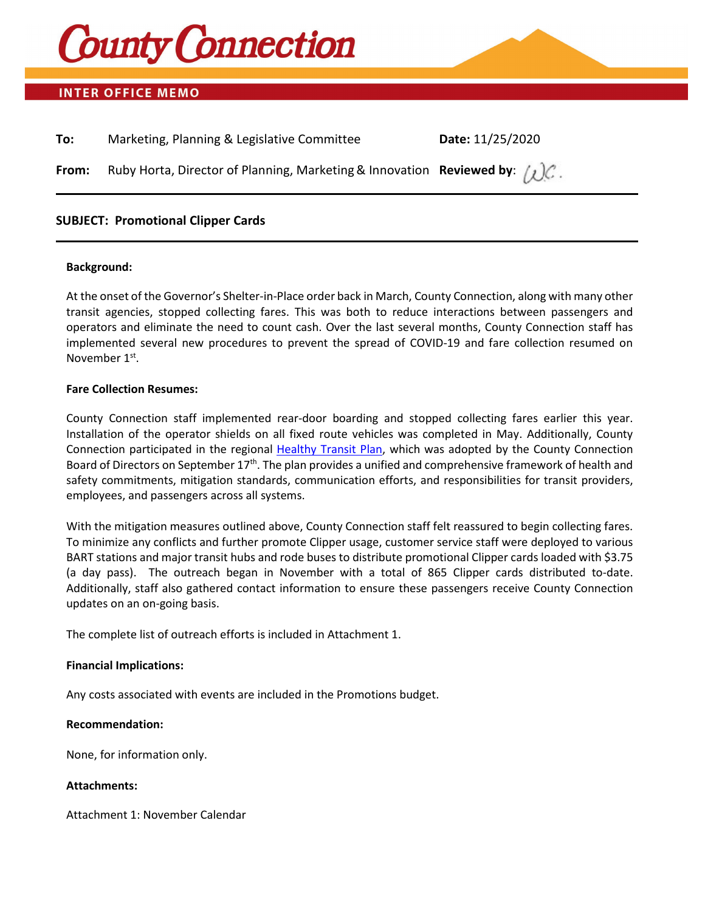

## **INTER OFFICE MEMO**

| To:   | Marketing, Planning & Legislative Committee                                                | Date: 11/25/2020 |
|-------|--------------------------------------------------------------------------------------------|------------------|
| From: | Ruby Horta, Director of Planning, Marketing & Innovation Reviewed by: $\int \mathcal{Q}$ . |                  |

### **SUBJECT: Promotional Clipper Cards**

#### **Background:**

At the onset of the Governor's Shelter-in-Place order back in March, County Connection, along with many other transit agencies, stopped collecting fares. This was both to reduce interactions between passengers and operators and eliminate the need to count cash. Over the last several months, County Connection staff has implemented several new procedures to prevent the spread of COVID-19 and fare collection resumed on November 1st.

#### **Fare Collection Resumes:**

County Connection staff implemented rear-door boarding and stopped collecting fares earlier this year. Installation of the operator shields on all fixed route vehicles was completed in May. Additionally, County Connection participated in the regional [Healthy Transit Plan,](http://www.healthytransitplan.com/) which was adopted by the County Connection Board of Directors on September  $17<sup>th</sup>$ . The plan provides a unified and comprehensive framework of health and safety commitments, mitigation standards, communication efforts, and responsibilities for transit providers, employees, and passengers across all systems.

With the mitigation measures outlined above, County Connection staff felt reassured to begin collecting fares. To minimize any conflicts and further promote Clipper usage, customer service staff were deployed to various BART stations and major transit hubs and rode buses to distribute promotional Clipper cards loaded with \$3.75 (a day pass). The outreach began in November with a total of 865 Clipper cards distributed to-date. Additionally, staff also gathered contact information to ensure these passengers receive County Connection updates on an on-going basis.

The complete list of outreach efforts is included in Attachment 1.

#### **Financial Implications:**

Any costs associated with events are included in the Promotions budget.

#### **Recommendation:**

None, for information only.

#### **Attachments:**

Attachment 1: November Calendar